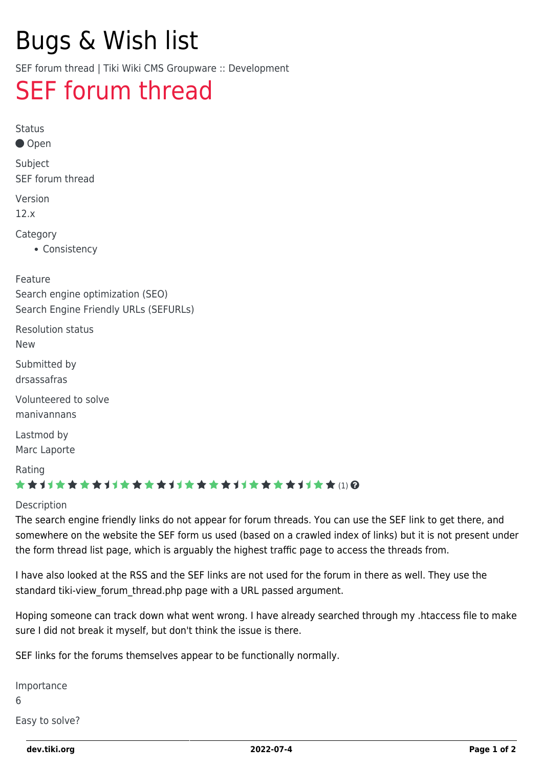# Bugs & Wish list

SEF forum thread | Tiki Wiki CMS Groupware :: Development

## [SEF forum thread](https://dev.tiki.org/item5202-SEF-forum-thread)

Status

Open

Subject SEF forum thread

Version

12.x

Category

• Consistency

Feature

Search engine optimization (SEO) Search Engine Friendly URLs (SEFURLs)

Resolution status

New

Submitted by

drsassafras

Volunteered to solve manivannans

Lastmod by Marc Laporte

Rating

#### \*\*\*\*\*\*\*\*\*\*\*\*\*\*\*\*\*\*\*\*\*\*\*\*\*\*\*\*\*\*\*

#### Description

The search engine friendly links do not appear for forum threads. You can use the SEF link to get there, and somewhere on the website the SEF form us used (based on a crawled index of links) but it is not present under the form thread list page, which is arguably the highest traffic page to access the threads from.

I have also looked at the RSS and the SEF links are not used for the forum in there as well. They use the standard tiki-view forum thread.php page with a URL passed argument.

Hoping someone can track down what went wrong. I have already searched through my .htaccess file to make sure I did not break it myself, but don't think the issue is there.

SEF links for the forums themselves appear to be functionally normally.

Importance

6

Easy to solve?